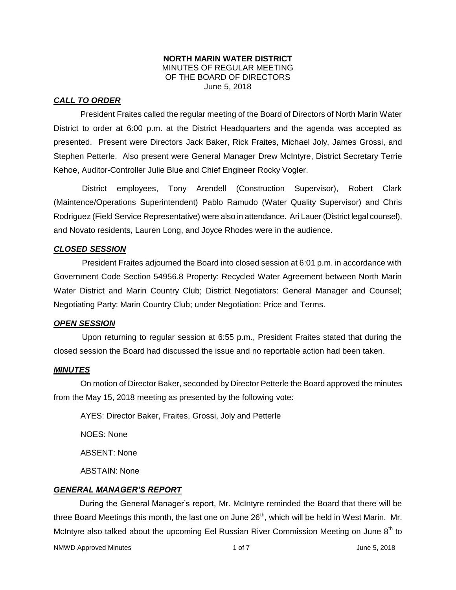#### **NORTH MARIN WATER DISTRICT** MINUTES OF REGULAR MEETING OF THE BOARD OF DIRECTORS June 5, 2018

#### *CALL TO ORDER*

President Fraites called the regular meeting of the Board of Directors of North Marin Water District to order at 6:00 p.m. at the District Headquarters and the agenda was accepted as presented. Present were Directors Jack Baker, Rick Fraites, Michael Joly, James Grossi, and Stephen Petterle. Also present were General Manager Drew McIntyre, District Secretary Terrie Kehoe, Auditor-Controller Julie Blue and Chief Engineer Rocky Vogler.

District employees, Tony Arendell (Construction Supervisor), Robert Clark (Maintence/Operations Superintendent) Pablo Ramudo (Water Quality Supervisor) and Chris Rodriguez (Field Service Representative) were also in attendance. Ari Lauer (District legal counsel), and Novato residents, Lauren Long, and Joyce Rhodes were in the audience.

#### *CLOSED SESSION*

President Fraites adjourned the Board into closed session at 6:01 p.m. in accordance with Government Code Section 54956.8 Property: Recycled Water Agreement between North Marin Water District and Marin Country Club; District Negotiators: General Manager and Counsel; Negotiating Party: Marin Country Club; under Negotiation: Price and Terms.

#### *OPEN SESSION*

Upon returning to regular session at 6:55 p.m., President Fraites stated that during the closed session the Board had discussed the issue and no reportable action had been taken.

#### *MINUTES*

On motion of Director Baker, seconded by Director Petterle the Board approved the minutes from the May 15, 2018 meeting as presented by the following vote:

AYES: Director Baker, Fraites, Grossi, Joly and Petterle

NOES: None

ABSENT: None

ABSTAIN: None

#### *GENERAL MANAGER'S REPORT*

During the General Manager's report, Mr. McIntyre reminded the Board that there will be three Board Meetings this month, the last one on June  $26<sup>th</sup>$ , which will be held in West Marin. Mr. McIntyre also talked about the upcoming Eel Russian River Commission Meeting on June  $8<sup>th</sup>$  to

NMWD Approved Minutes and the control of 1 of 7 and 1 of 7 and 2018 June 5, 2018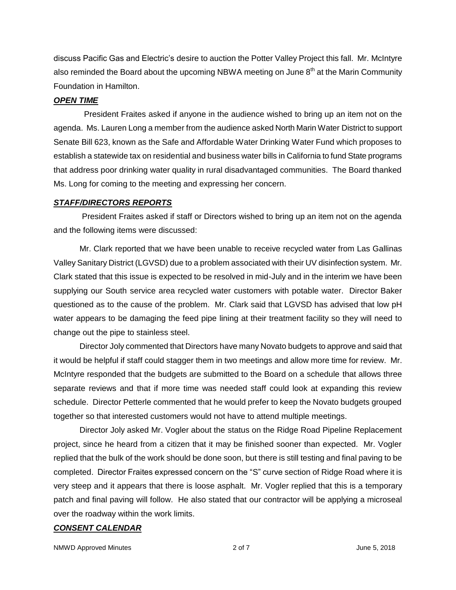discuss Pacific Gas and Electric's desire to auction the Potter Valley Project this fall. Mr. McIntyre also reminded the Board about the upcoming NBWA meeting on June  $8<sup>th</sup>$  at the Marin Community Foundation in Hamilton.

#### *OPEN TIME*

President Fraites asked if anyone in the audience wished to bring up an item not on the agenda. Ms. Lauren Long a member from the audience asked North Marin Water District to support Senate Bill 623, known as the Safe and Affordable Water Drinking Water Fund which proposes to establish a statewide tax on residential and business water bills in California to fund State programs that address poor drinking water quality in rural disadvantaged communities. The Board thanked Ms. Long for coming to the meeting and expressing her concern.

#### *STAFF/DIRECTORS REPORTS*

President Fraites asked if staff or Directors wished to bring up an item not on the agenda and the following items were discussed:

Mr. Clark reported that we have been unable to receive recycled water from Las Gallinas Valley Sanitary District (LGVSD) due to a problem associated with their UV disinfection system. Mr. Clark stated that this issue is expected to be resolved in mid-July and in the interim we have been supplying our South service area recycled water customers with potable water. Director Baker questioned as to the cause of the problem. Mr. Clark said that LGVSD has advised that low pH water appears to be damaging the feed pipe lining at their treatment facility so they will need to change out the pipe to stainless steel.

Director Joly commented that Directors have many Novato budgets to approve and said that it would be helpful if staff could stagger them in two meetings and allow more time for review. Mr. McIntyre responded that the budgets are submitted to the Board on a schedule that allows three separate reviews and that if more time was needed staff could look at expanding this review schedule. Director Petterle commented that he would prefer to keep the Novato budgets grouped together so that interested customers would not have to attend multiple meetings.

Director Joly asked Mr. Vogler about the status on the Ridge Road Pipeline Replacement project, since he heard from a citizen that it may be finished sooner than expected. Mr. Vogler replied that the bulk of the work should be done soon, but there is still testing and final paving to be completed. Director Fraites expressed concern on the "S" curve section of Ridge Road where it is very steep and it appears that there is loose asphalt. Mr. Vogler replied that this is a temporary patch and final paving will follow. He also stated that our contractor will be applying a microseal over the roadway within the work limits.

#### *CONSENT CALENDAR*

NMWD Approved Minutes and the control of 2 of 7 and 2 of 7 and 2 of 7 and 2 of 7 and 2 of 7 and 2 of 7 and 2 of 7 and 2 of 7 and 2 of 7 and 2 of 7 and 2 of 7 and 2 of 7 and 2 of 7 and 2 of 7 and 2 of 7 and 2 of 7 and 2 of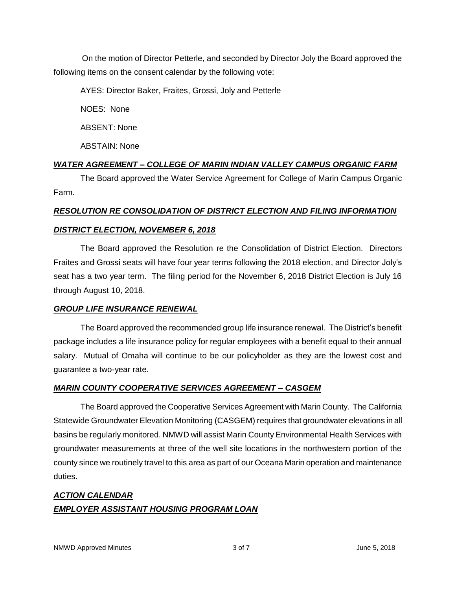On the motion of Director Petterle, and seconded by Director Joly the Board approved the following items on the consent calendar by the following vote:

AYES: Director Baker, Fraites, Grossi, Joly and Petterle

NOES: None

ABSENT: None

ABSTAIN: None

# *WATER AGREEMENT – COLLEGE OF MARIN INDIAN VALLEY CAMPUS ORGANIC FARM*

The Board approved the Water Service Agreement for College of Marin Campus Organic Farm.

# *RESOLUTION RE CONSOLIDATION OF DISTRICT ELECTION AND FILING INFORMATION*

# *DISTRICT ELECTION, NOVEMBER 6, 2018*

The Board approved the Resolution re the Consolidation of District Election. Directors Fraites and Grossi seats will have four year terms following the 2018 election, and Director Joly's seat has a two year term. The filing period for the November 6, 2018 District Election is July 16 through August 10, 2018.

# *GROUP LIFE INSURANCE RENEWAL*

The Board approved the recommended group life insurance renewal. The District's benefit package includes a life insurance policy for regular employees with a benefit equal to their annual salary. Mutual of Omaha will continue to be our policyholder as they are the lowest cost and guarantee a two-year rate.

# *MARIN COUNTY COOPERATIVE SERVICES AGREEMENT – CASGEM*

The Board approved the Cooperative Services Agreement with Marin County. The California Statewide Groundwater Elevation Monitoring (CASGEM) requires that groundwater elevations in all basins be regularly monitored. NMWD will assist Marin County Environmental Health Services with groundwater measurements at three of the well site locations in the northwestern portion of the county since we routinely travel to this area as part of our Oceana Marin operation and maintenance duties.

# *ACTION CALENDAR EMPLOYER ASSISTANT HOUSING PROGRAM LOAN*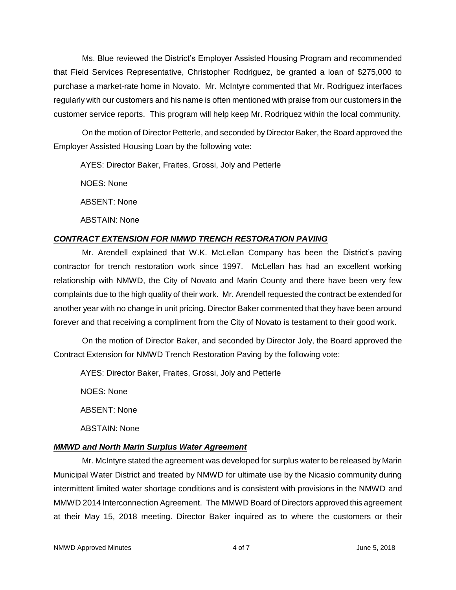Ms. Blue reviewed the District's Employer Assisted Housing Program and recommended that Field Services Representative, Christopher Rodriguez, be granted a loan of \$275,000 to purchase a market-rate home in Novato. Mr. McIntyre commented that Mr. Rodriguez interfaces regularly with our customers and his name is often mentioned with praise from our customers in the customer service reports. This program will help keep Mr. Rodriquez within the local community.

On the motion of Director Petterle, and seconded by Director Baker, the Board approved the Employer Assisted Housing Loan by the following vote:

AYES: Director Baker, Fraites, Grossi, Joly and Petterle

NOES: None

ABSENT: None

ABSTAIN: None

# *CONTRACT EXTENSION FOR NMWD TRENCH RESTORATION PAVING*

Mr. Arendell explained that W.K. McLellan Company has been the District's paving contractor for trench restoration work since 1997. McLellan has had an excellent working relationship with NMWD, the City of Novato and Marin County and there have been very few complaints due to the high quality of their work. Mr. Arendell requested the contract be extended for another year with no change in unit pricing. Director Baker commented that they have been around forever and that receiving a compliment from the City of Novato is testament to their good work.

On the motion of Director Baker, and seconded by Director Joly, the Board approved the Contract Extension for NMWD Trench Restoration Paving by the following vote:

AYES: Director Baker, Fraites, Grossi, Joly and Petterle

NOES: None

ABSENT: None

ABSTAIN: None

# *MMWD and North Marin Surplus Water Agreement*

Mr. McIntyre stated the agreement was developed for surplus water to be released by Marin Municipal Water District and treated by NMWD for ultimate use by the Nicasio community during intermittent limited water shortage conditions and is consistent with provisions in the NMWD and MMWD 2014 Interconnection Agreement. The MMWD Board of Directors approved this agreement at their May 15, 2018 meeting. Director Baker inquired as to where the customers or their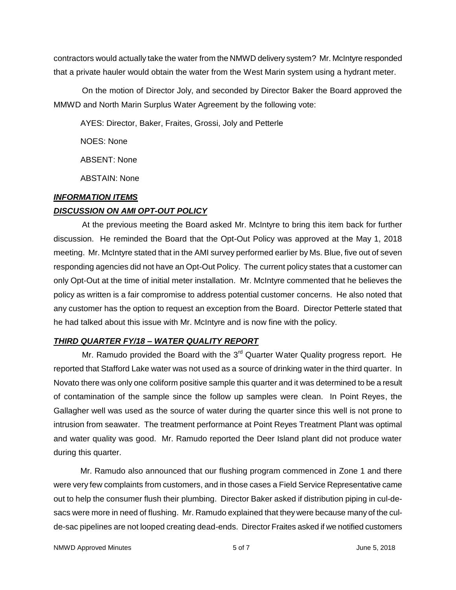contractors would actually take the water from the NMWD delivery system? Mr. McIntyre responded that a private hauler would obtain the water from the West Marin system using a hydrant meter.

On the motion of Director Joly, and seconded by Director Baker the Board approved the MMWD and North Marin Surplus Water Agreement by the following vote:

AYES: Director, Baker, Fraites, Grossi, Joly and Petterle

NOES: None

ABSENT: None

ABSTAIN: None

# *INFORMATION ITEMS*

# *DISCUSSION ON AMI OPT-OUT POLICY*

At the previous meeting the Board asked Mr. McIntyre to bring this item back for further discussion. He reminded the Board that the Opt-Out Policy was approved at the May 1, 2018 meeting. Mr. McIntyre stated that in the AMI survey performed earlier by Ms. Blue, five out of seven responding agencies did not have an Opt-Out Policy. The current policy states that a customer can only Opt-Out at the time of initial meter installation. Mr. McIntyre commented that he believes the policy as written is a fair compromise to address potential customer concerns. He also noted that any customer has the option to request an exception from the Board. Director Petterle stated that he had talked about this issue with Mr. McIntyre and is now fine with the policy.

# *THIRD QUARTER FY/18 – WATER QUALITY REPORT*

Mr. Ramudo provided the Board with the  $3<sup>rd</sup>$  Quarter Water Quality progress report. He reported that Stafford Lake water was not used as a source of drinking water in the third quarter. In Novato there was only one coliform positive sample this quarter and it was determined to be a result of contamination of the sample since the follow up samples were clean. In Point Reyes, the Gallagher well was used as the source of water during the quarter since this well is not prone to intrusion from seawater. The treatment performance at Point Reyes Treatment Plant was optimal and water quality was good. Mr. Ramudo reported the Deer Island plant did not produce water during this quarter.

Mr. Ramudo also announced that our flushing program commenced in Zone 1 and there were very few complaints from customers, and in those cases a Field Service Representative came out to help the consumer flush their plumbing. Director Baker asked if distribution piping in cul-desacs were more in need of flushing. Mr. Ramudo explained that they were because many of the culde-sac pipelines are not looped creating dead-ends. Director Fraites asked if we notified customers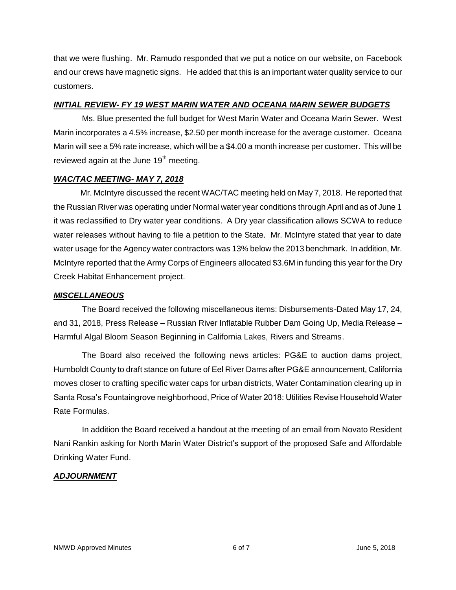that we were flushing. Mr. Ramudo responded that we put a notice on our website, on Facebook and our crews have magnetic signs. He added that this is an important water quality service to our customers.

#### *INITIAL REVIEW- FY 19 WEST MARIN WATER AND OCEANA MARIN SEWER BUDGETS*

Ms. Blue presented the full budget for West Marin Water and Oceana Marin Sewer. West Marin incorporates a 4.5% increase, \$2.50 per month increase for the average customer. Oceana Marin will see a 5% rate increase, which will be a \$4.00 a month increase per customer. This will be reviewed again at the June 19<sup>th</sup> meeting.

### *WAC/TAC MEETING- MAY 7, 2018*

Mr. McIntyre discussed the recent WAC/TAC meeting held on May 7, 2018. He reported that the Russian River was operating under Normal water year conditions through April and as of June 1 it was reclassified to Dry water year conditions. A Dry year classification allows SCWA to reduce water releases without having to file a petition to the State. Mr. McIntyre stated that year to date water usage for the Agency water contractors was 13% below the 2013 benchmark. In addition, Mr. McIntyre reported that the Army Corps of Engineers allocated \$3.6M in funding this year for the Dry Creek Habitat Enhancement project.

#### *MISCELLANEOUS*

The Board received the following miscellaneous items: Disbursements-Dated May 17, 24, and 31, 2018, Press Release – Russian River Inflatable Rubber Dam Going Up, Media Release – Harmful Algal Bloom Season Beginning in California Lakes, Rivers and Streams.

The Board also received the following news articles: PG&E to auction dams project, Humboldt County to draft stance on future of Eel River Dams after PG&E announcement, California moves closer to crafting specific water caps for urban districts, Water Contamination clearing up in Santa Rosa's Fountaingrove neighborhood, Price of Water 2018: Utilities Revise Household Water Rate Formulas.

In addition the Board received a handout at the meeting of an email from Novato Resident Nani Rankin asking for North Marin Water District's support of the proposed Safe and Affordable Drinking Water Fund.

# *ADJOURNMENT*